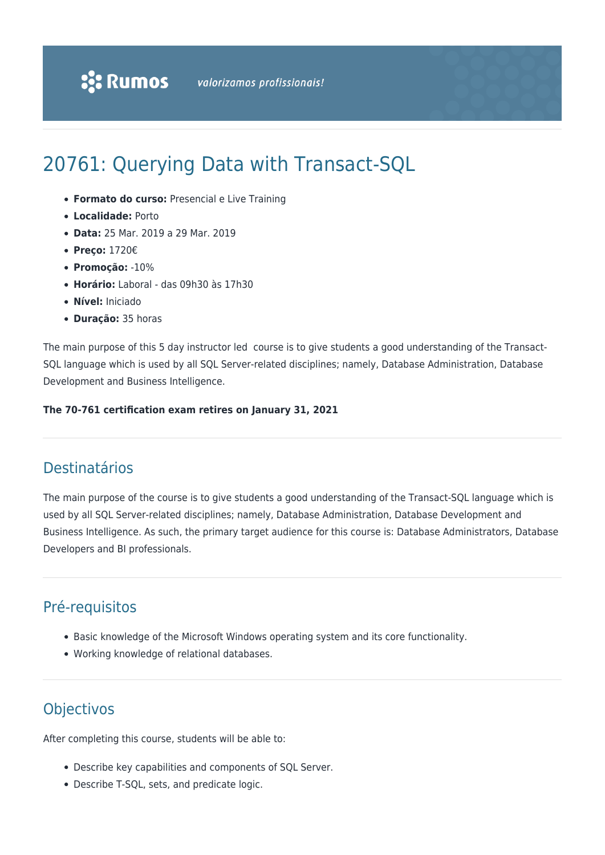# 20761: Querying Data with Transact-SQL

- **Formato do curso:** Presencial e Live Training
- **Localidade:** Porto
- **Data:** 25 Mar. 2019 a 29 Mar. 2019
- **Preço:** 1720€
- **Promoção:** -10%
- **Horário:** Laboral das 09h30 às 17h30
- **Nível:** Iniciado
- **Duração:** 35 horas

The main purpose of this 5 day instructor led course is to give students a good understanding of the Transact-SQL language which is used by all SQL Server-related disciplines; namely, Database Administration, Database Development and Business Intelligence.

#### **The 70-761 certification exam retires on January 31, 2021**

# Destinatários

The main purpose of the course is to give students a good understanding of the Transact-SQL language which is used by all SQL Server-related disciplines; namely, Database Administration, Database Development and Business Intelligence. As such, the primary target audience for this course is: Database Administrators, Database Developers and BI professionals.

# Pré-requisitos

- Basic knowledge of the Microsoft Windows operating system and its core functionality.
- Working knowledge of relational databases.

# **Objectivos**

After completing this course, students will be able to:

- Describe key capabilities and components of SQL Server.
- Describe T-SQL, sets, and predicate logic.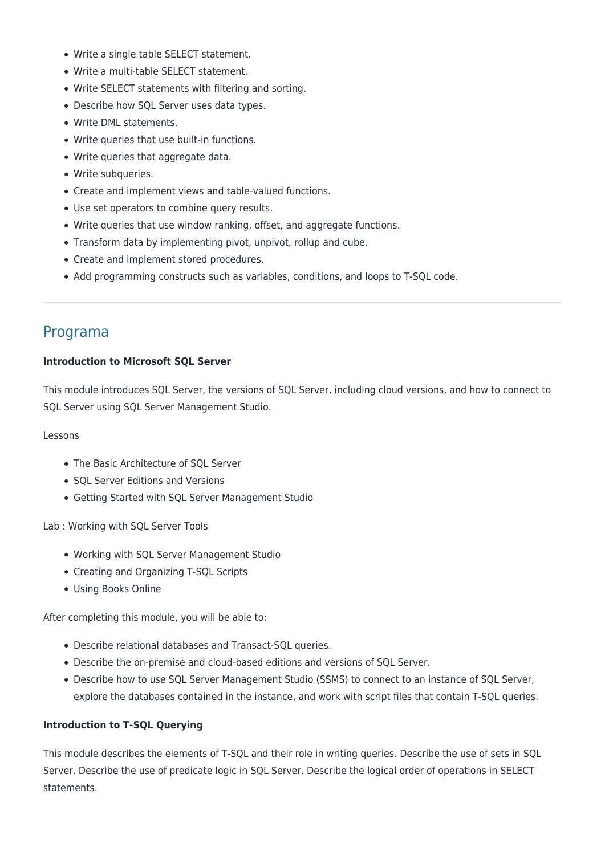- Write a single table SELECT statement.
- Write a multi-table SELECT statement.
- Write SELECT statements with filtering and sorting.
- Describe how SQL Server uses data types.
- Write DML statements.
- Write queries that use built-in functions.
- Write queries that aggregate data.
- Write subqueries.
- Create and implement views and table-valued functions.
- Use set operators to combine query results.
- Write queries that use window ranking, offset, and aggregate functions.
- Transform data by implementing pivot, unpivot, rollup and cube.
- Create and implement stored procedures.
- Add programming constructs such as variables, conditions, and loops to T-SQL code.

# Programa

#### **Introduction to Microsoft SQL Server**

This module introduces SQL Server, the versions of SQL Server, including cloud versions, and how to connect to SQL Server using SQL Server Management Studio.

#### Lessons

- The Basic Architecture of SOL Server
- SOL Server Editions and Versions
- Getting Started with SQL Server Management Studio

Lab : Working with SQL Server Tools

- Working with SQL Server Management Studio
- Creating and Organizing T-SQL Scripts
- Using Books Online

After completing this module, you will be able to:

- Describe relational databases and Transact-SQL queries.
- Describe the on-premise and cloud-based editions and versions of SQL Server.
- Describe how to use SQL Server Management Studio (SSMS) to connect to an instance of SQL Server, explore the databases contained in the instance, and work with script files that contain T-SQL queries.

# **Introduction to T-SQL Querying**

This module describes the elements of T-SQL and their role in writing queries. Describe the use of sets in SQL Server. Describe the use of predicate logic in SQL Server. Describe the logical order of operations in SELECT statements.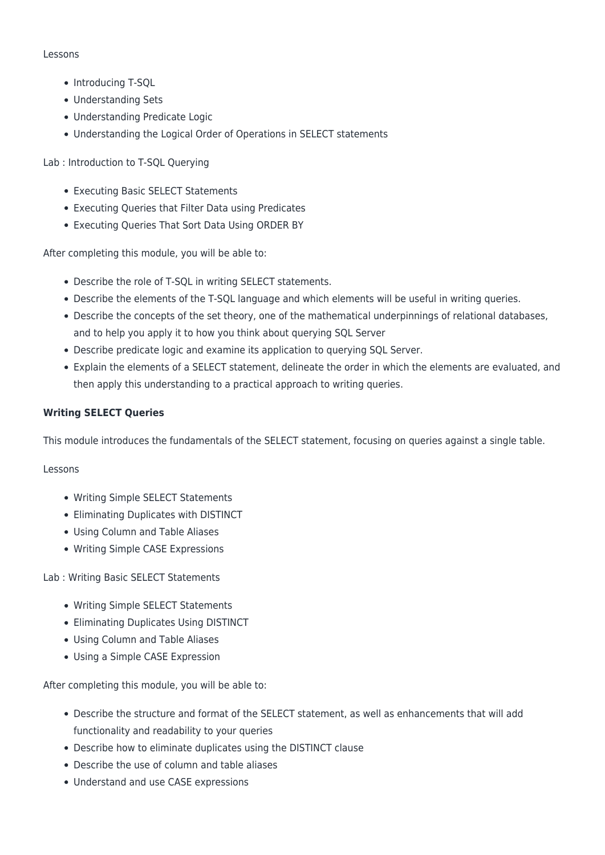#### Lessons

- Introducing T-SQL
- Understanding Sets
- Understanding Predicate Logic
- Understanding the Logical Order of Operations in SELECT statements

Lab : Introduction to T-SQL Querying

- Executing Basic SELECT Statements
- Executing Queries that Filter Data using Predicates
- Executing Queries That Sort Data Using ORDER BY

After completing this module, you will be able to:

- Describe the role of T-SQL in writing SELECT statements.
- Describe the elements of the T-SQL language and which elements will be useful in writing queries.
- Describe the concepts of the set theory, one of the mathematical underpinnings of relational databases, and to help you apply it to how you think about querying SQL Server
- Describe predicate logic and examine its application to querying SQL Server.
- Explain the elements of a SELECT statement, delineate the order in which the elements are evaluated, and then apply this understanding to a practical approach to writing queries.

# **Writing SELECT Queries**

This module introduces the fundamentals of the SELECT statement, focusing on queries against a single table.

#### Lessons

- Writing Simple SELECT Statements
- Eliminating Duplicates with DISTINCT
- Using Column and Table Aliases
- Writing Simple CASE Expressions

# Lab : Writing Basic SELECT Statements

- Writing Simple SELECT Statements
- Eliminating Duplicates Using DISTINCT
- Using Column and Table Aliases
- Using a Simple CASE Expression

- Describe the structure and format of the SELECT statement, as well as enhancements that will add functionality and readability to your queries
- Describe how to eliminate duplicates using the DISTINCT clause
- Describe the use of column and table aliases
- Understand and use CASE expressions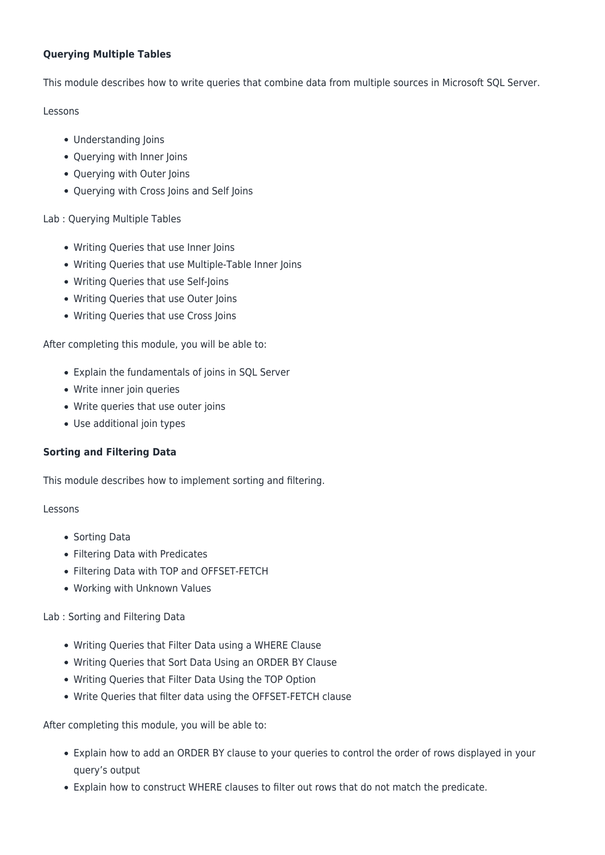# **Querying Multiple Tables**

This module describes how to write queries that combine data from multiple sources in Microsoft SQL Server.

#### Lessons

- Understanding Joins
- Querying with Inner Joins
- Querying with Outer Joins
- Querying with Cross Joins and Self Joins

# Lab : Querying Multiple Tables

- Writing Queries that use Inner Joins
- Writing Queries that use Multiple-Table Inner Joins
- Writing Queries that use Self-Joins
- Writing Queries that use Outer Joins
- Writing Queries that use Cross Joins

After completing this module, you will be able to:

- Explain the fundamentals of joins in SQL Server
- Write inner join queries
- Write queries that use outer joins
- Use additional join types

# **Sorting and Filtering Data**

This module describes how to implement sorting and filtering.

# Lessons

- Sorting Data
- Filtering Data with Predicates
- Filtering Data with TOP and OFFSET-FETCH
- Working with Unknown Values

# Lab : Sorting and Filtering Data

- Writing Queries that Filter Data using a WHERE Clause
- Writing Queries that Sort Data Using an ORDER BY Clause
- Writing Queries that Filter Data Using the TOP Option
- Write Queries that filter data using the OFFSET-FETCH clause

- Explain how to add an ORDER BY clause to your queries to control the order of rows displayed in your query's output
- Explain how to construct WHERE clauses to filter out rows that do not match the predicate.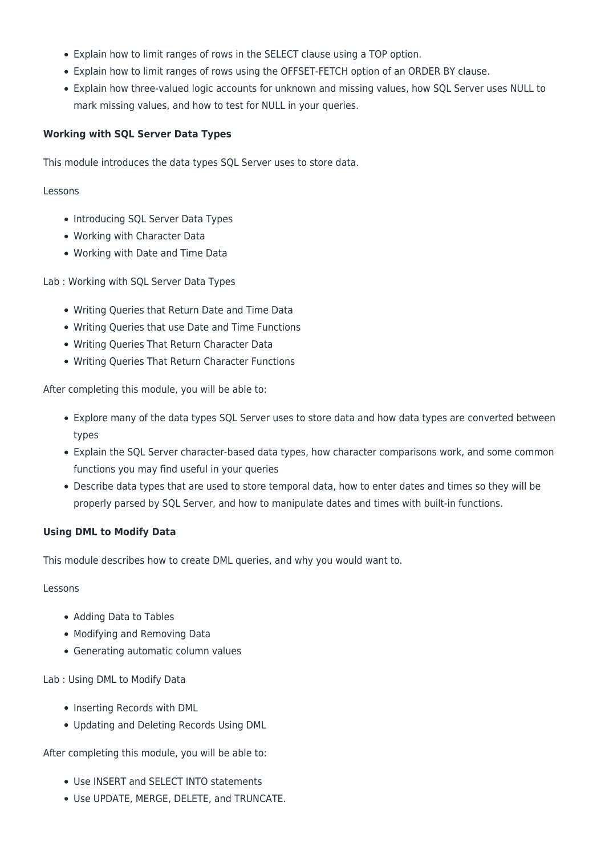- Explain how to limit ranges of rows in the SELECT clause using a TOP option.
- Explain how to limit ranges of rows using the OFFSET-FETCH option of an ORDER BY clause.
- Explain how three-valued logic accounts for unknown and missing values, how SQL Server uses NULL to mark missing values, and how to test for NULL in your queries.

# **Working with SQL Server Data Types**

This module introduces the data types SQL Server uses to store data.

#### Lessons

- Introducing SQL Server Data Types
- Working with Character Data
- Working with Date and Time Data

Lab : Working with SQL Server Data Types

- Writing Queries that Return Date and Time Data
- Writing Queries that use Date and Time Functions
- Writing Queries That Return Character Data
- Writing Queries That Return Character Functions

After completing this module, you will be able to:

- Explore many of the data types SQL Server uses to store data and how data types are converted between types
- Explain the SQL Server character-based data types, how character comparisons work, and some common functions you may find useful in your queries
- Describe data types that are used to store temporal data, how to enter dates and times so they will be properly parsed by SQL Server, and how to manipulate dates and times with built-in functions.

# **Using DML to Modify Data**

This module describes how to create DML queries, and why you would want to.

#### Lessons

- Adding Data to Tables
- Modifying and Removing Data
- Generating automatic column values

# Lab : Using DML to Modify Data

- Inserting Records with DML
- Updating and Deleting Records Using DML

- Use INSERT and SELECT INTO statements
- Use UPDATE, MERGE, DELETE, and TRUNCATE.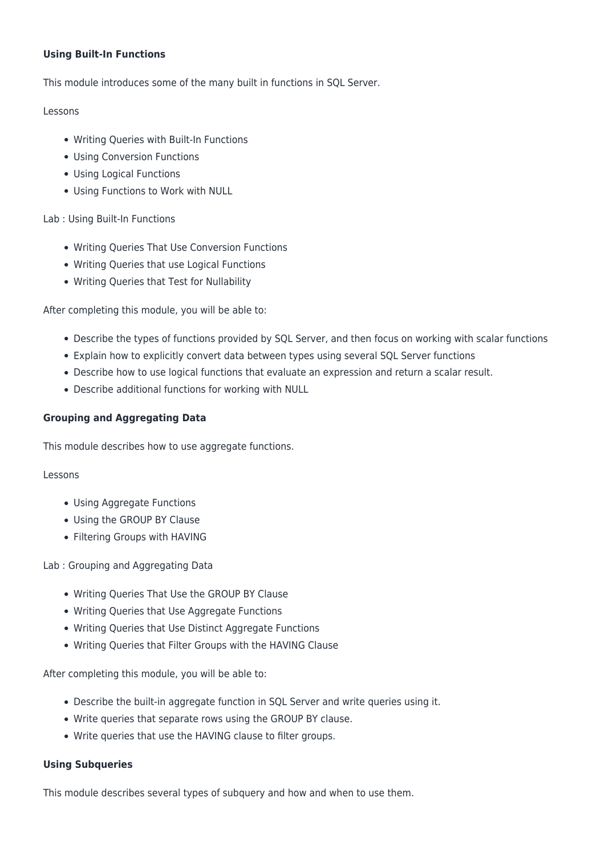# **Using Built-In Functions**

This module introduces some of the many built in functions in SQL Server.

#### Lessons

- Writing Queries with Built-In Functions
- Using Conversion Functions
- Using Logical Functions
- Using Functions to Work with NULL

# Lab : Using Built-In Functions

- Writing Queries That Use Conversion Functions
- Writing Queries that use Logical Functions
- Writing Queries that Test for Nullability

After completing this module, you will be able to:

- Describe the types of functions provided by SQL Server, and then focus on working with scalar functions
- Explain how to explicitly convert data between types using several SQL Server functions
- Describe how to use logical functions that evaluate an expression and return a scalar result.
- Describe additional functions for working with NULL

# **Grouping and Aggregating Data**

This module describes how to use aggregate functions.

# Lessons

- Using Aggregate Functions
- Using the GROUP BY Clause
- Filtering Groups with HAVING

Lab : Grouping and Aggregating Data

- Writing Queries That Use the GROUP BY Clause
- Writing Queries that Use Aggregate Functions
- Writing Queries that Use Distinct Aggregate Functions
- Writing Queries that Filter Groups with the HAVING Clause

After completing this module, you will be able to:

- Describe the built-in aggregate function in SQL Server and write queries using it.
- Write queries that separate rows using the GROUP BY clause.
- Write queries that use the HAVING clause to filter groups.

# **Using Subqueries**

This module describes several types of subquery and how and when to use them.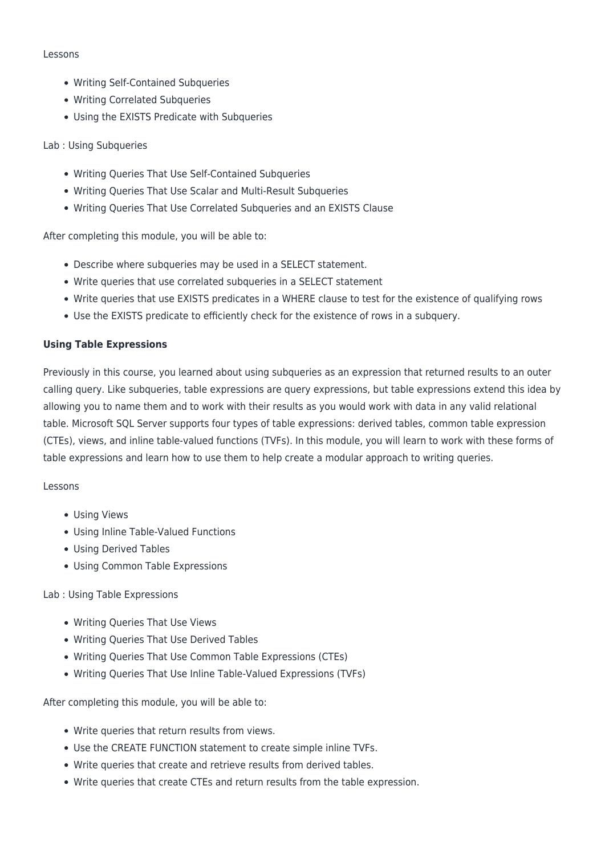#### Lessons

- Writing Self-Contained Subqueries
- Writing Correlated Subqueries
- Using the EXISTS Predicate with Subqueries

# Lab : Using Subqueries

- Writing Queries That Use Self-Contained Subqueries
- Writing Queries That Use Scalar and Multi-Result Subqueries
- Writing Queries That Use Correlated Subqueries and an EXISTS Clause

After completing this module, you will be able to:

- Describe where subqueries may be used in a SELECT statement.
- Write queries that use correlated subqueries in a SELECT statement
- Write queries that use EXISTS predicates in a WHERE clause to test for the existence of qualifying rows
- Use the EXISTS predicate to efficiently check for the existence of rows in a subquery.

# **Using Table Expressions**

Previously in this course, you learned about using subqueries as an expression that returned results to an outer calling query. Like subqueries, table expressions are query expressions, but table expressions extend this idea by allowing you to name them and to work with their results as you would work with data in any valid relational table. Microsoft SQL Server supports four types of table expressions: derived tables, common table expression (CTEs), views, and inline table-valued functions (TVFs). In this module, you will learn to work with these forms of table expressions and learn how to use them to help create a modular approach to writing queries.

# Lessons

- Using Views
- Using Inline Table-Valued Functions
- Using Derived Tables
- Using Common Table Expressions

# Lab : Using Table Expressions

- Writing Queries That Use Views
- Writing Queries That Use Derived Tables
- Writing Queries That Use Common Table Expressions (CTEs)
- Writing Queries That Use Inline Table-Valued Expressions (TVFs)

- Write queries that return results from views.
- Use the CREATE FUNCTION statement to create simple inline TVFs.
- Write queries that create and retrieve results from derived tables.
- Write queries that create CTEs and return results from the table expression.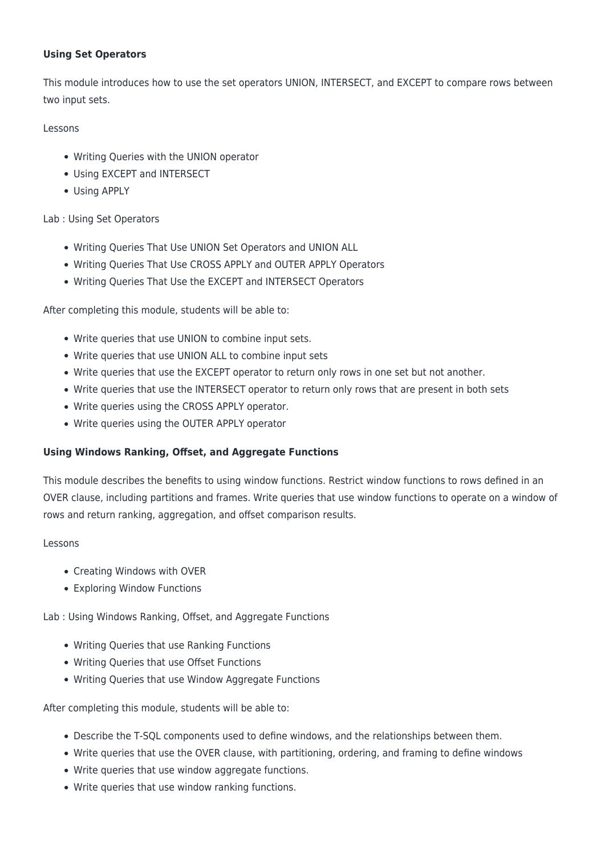# **Using Set Operators**

This module introduces how to use the set operators UNION, INTERSECT, and EXCEPT to compare rows between two input sets.

Lessons

- Writing Queries with the UNION operator
- Using EXCEPT and INTERSECT
- Using APPLY

# Lab : Using Set Operators

- Writing Queries That Use UNION Set Operators and UNION ALL
- Writing Queries That Use CROSS APPLY and OUTER APPLY Operators
- Writing Queries That Use the EXCEPT and INTERSECT Operators

After completing this module, students will be able to:

- Write queries that use UNION to combine input sets.
- Write queries that use UNION ALL to combine input sets
- Write queries that use the EXCEPT operator to return only rows in one set but not another.
- Write queries that use the INTERSECT operator to return only rows that are present in both sets
- Write queries using the CROSS APPLY operator.
- Write queries using the OUTER APPLY operator

#### **Using Windows Ranking, Offset, and Aggregate Functions**

This module describes the benefits to using window functions. Restrict window functions to rows defined in an OVER clause, including partitions and frames. Write queries that use window functions to operate on a window of rows and return ranking, aggregation, and offset comparison results.

#### Lessons

- Creating Windows with OVER
- Exploring Window Functions

Lab : Using Windows Ranking, Offset, and Aggregate Functions

- Writing Queries that use Ranking Functions
- Writing Queries that use Offset Functions
- Writing Queries that use Window Aggregate Functions

- Describe the T-SQL components used to define windows, and the relationships between them.
- Write queries that use the OVER clause, with partitioning, ordering, and framing to define windows
- Write queries that use window aggregate functions.
- Write queries that use window ranking functions.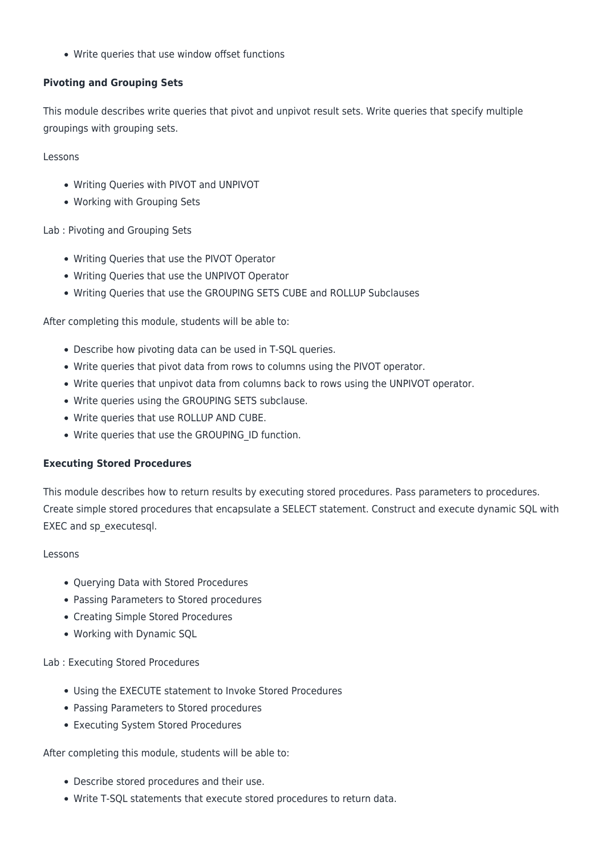Write queries that use window offset functions

# **Pivoting and Grouping Sets**

This module describes write queries that pivot and unpivot result sets. Write queries that specify multiple groupings with grouping sets.

Lessons

- Writing Queries with PIVOT and UNPIVOT
- Working with Grouping Sets

Lab : Pivoting and Grouping Sets

- Writing Queries that use the PIVOT Operator
- Writing Queries that use the UNPIVOT Operator
- Writing Queries that use the GROUPING SETS CUBE and ROLLUP Subclauses

After completing this module, students will be able to:

- Describe how pivoting data can be used in T-SQL queries.
- Write queries that pivot data from rows to columns using the PIVOT operator.
- Write queries that unpivot data from columns back to rows using the UNPIVOT operator.
- Write queries using the GROUPING SETS subclause.
- Write queries that use ROLLUP AND CUBE.
- Write queries that use the GROUPING\_ID function.

#### **Executing Stored Procedures**

This module describes how to return results by executing stored procedures. Pass parameters to procedures. Create simple stored procedures that encapsulate a SELECT statement. Construct and execute dynamic SQL with EXEC and sp\_executesql.

#### Lessons

- Querying Data with Stored Procedures
- Passing Parameters to Stored procedures
- Creating Simple Stored Procedures
- Working with Dynamic SQL

Lab : Executing Stored Procedures

- Using the EXECUTE statement to Invoke Stored Procedures
- Passing Parameters to Stored procedures
- Executing System Stored Procedures

- Describe stored procedures and their use.
- Write T-SQL statements that execute stored procedures to return data.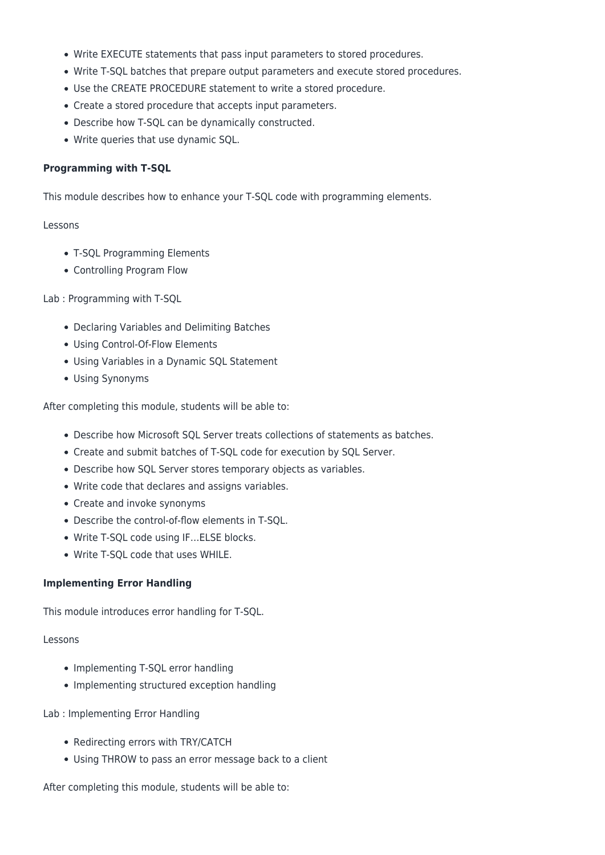- Write EXECUTE statements that pass input parameters to stored procedures.
- Write T-SQL batches that prepare output parameters and execute stored procedures.
- Use the CREATE PROCEDURE statement to write a stored procedure.
- Create a stored procedure that accepts input parameters.
- Describe how T-SQL can be dynamically constructed.
- Write queries that use dynamic SQL.

#### **Programming with T-SQL**

This module describes how to enhance your T-SQL code with programming elements.

#### Lessons

- T-SQL Programming Elements
- Controlling Program Flow

#### Lab : Programming with T-SQL

- Declaring Variables and Delimiting Batches
- Using Control-Of-Flow Elements
- Using Variables in a Dynamic SQL Statement
- Using Synonyms

After completing this module, students will be able to:

- Describe how Microsoft SQL Server treats collections of statements as batches.
- Create and submit batches of T-SQL code for execution by SQL Server.
- Describe how SQL Server stores temporary objects as variables.
- Write code that declares and assigns variables.
- Create and invoke synonyms
- Describe the control-of-flow elements in T-SQL.
- Write T-SQL code using IF…ELSE blocks.
- Write T-SQL code that uses WHILE.

#### **Implementing Error Handling**

This module introduces error handling for T-SQL.

#### Lessons

- Implementing T-SQL error handling
- Implementing structured exception handling

#### Lab : Implementing Error Handling

- Redirecting errors with TRY/CATCH
- Using THROW to pass an error message back to a client